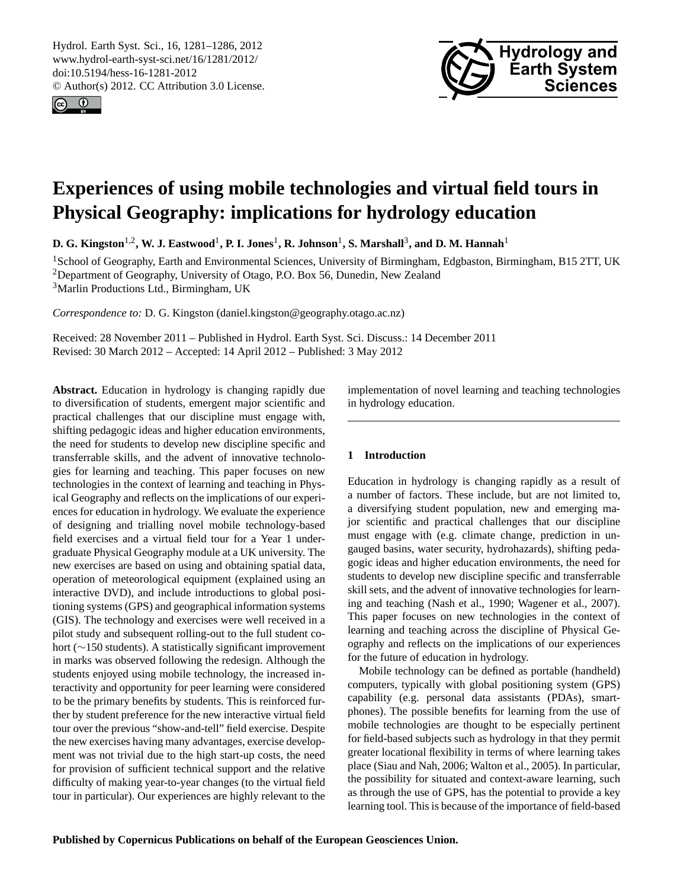<span id="page-0-0"></span>Hydrol. Earth Syst. Sci., 16, 1281–1286, 2012 www.hydrol-earth-syst-sci.net/16/1281/2012/ doi:10.5194/hess-16-1281-2012 © Author(s) 2012. CC Attribution 3.0 License.





# **Experiences of using mobile technologies and virtual field tours in Physical Geography: implications for hydrology education**

 ${\bf D.~G.~Kingston}^{1,2}, {\bf W.~J.~Eastwood}^{1}, {\bf P.~I.~Jones}^{1}, {\bf R.~Johnson}^{1}, {\bf S.~Marshall}^{3}, {\bf and~D.~M.~Hannah}^{1}$ 

<sup>1</sup>School of Geography, Earth and Environmental Sciences, University of Birmingham, Edgbaston, Birmingham, B15 2TT, UK <sup>2</sup>Department of Geography, University of Otago, P.O. Box 56, Dunedin, New Zealand <sup>3</sup>Marlin Productions Ltd., Birmingham, UK

*Correspondence to:* D. G. Kingston (daniel.kingston@geography.otago.ac.nz)

Received: 28 November 2011 – Published in Hydrol. Earth Syst. Sci. Discuss.: 14 December 2011 Revised: 30 March 2012 – Accepted: 14 April 2012 – Published: 3 May 2012

**Abstract.** Education in hydrology is changing rapidly due to diversification of students, emergent major scientific and practical challenges that our discipline must engage with, shifting pedagogic ideas and higher education environments, the need for students to develop new discipline specific and transferrable skills, and the advent of innovative technologies for learning and teaching. This paper focuses on new technologies in the context of learning and teaching in Physical Geography and reflects on the implications of our experiences for education in hydrology. We evaluate the experience of designing and trialling novel mobile technology-based field exercises and a virtual field tour for a Year 1 undergraduate Physical Geography module at a UK university. The new exercises are based on using and obtaining spatial data, operation of meteorological equipment (explained using an interactive DVD), and include introductions to global positioning systems (GPS) and geographical information systems (GIS). The technology and exercises were well received in a pilot study and subsequent rolling-out to the full student cohort (∼150 students). A statistically significant improvement in marks was observed following the redesign. Although the students enjoyed using mobile technology, the increased interactivity and opportunity for peer learning were considered to be the primary benefits by students. This is reinforced further by student preference for the new interactive virtual field tour over the previous "show-and-tell" field exercise. Despite the new exercises having many advantages, exercise development was not trivial due to the high start-up costs, the need for provision of sufficient technical support and the relative difficulty of making year-to-year changes (to the virtual field tour in particular). Our experiences are highly relevant to the implementation of novel learning and teaching technologies in hydrology education.

## **1 Introduction**

Education in hydrology is changing rapidly as a result of a number of factors. These include, but are not limited to, a diversifying student population, new and emerging major scientific and practical challenges that our discipline must engage with (e.g. climate change, prediction in ungauged basins, water security, hydrohazards), shifting pedagogic ideas and higher education environments, the need for students to develop new discipline specific and transferrable skill sets, and the advent of innovative technologies for learning and teaching (Nash et al., 1990; Wagener et al., 2007). This paper focuses on new technologies in the context of learning and teaching across the discipline of Physical Geography and reflects on the implications of our experiences for the future of education in hydrology.

Mobile technology can be defined as portable (handheld) computers, typically with global positioning system (GPS) capability (e.g. personal data assistants (PDAs), smartphones). The possible benefits for learning from the use of mobile technologies are thought to be especially pertinent for field-based subjects such as hydrology in that they permit greater locational flexibility in terms of where learning takes place (Siau and Nah, 2006; Walton et al., 2005). In particular, the possibility for situated and context-aware learning, such as through the use of GPS, has the potential to provide a key learning tool. This is because of the importance of field-based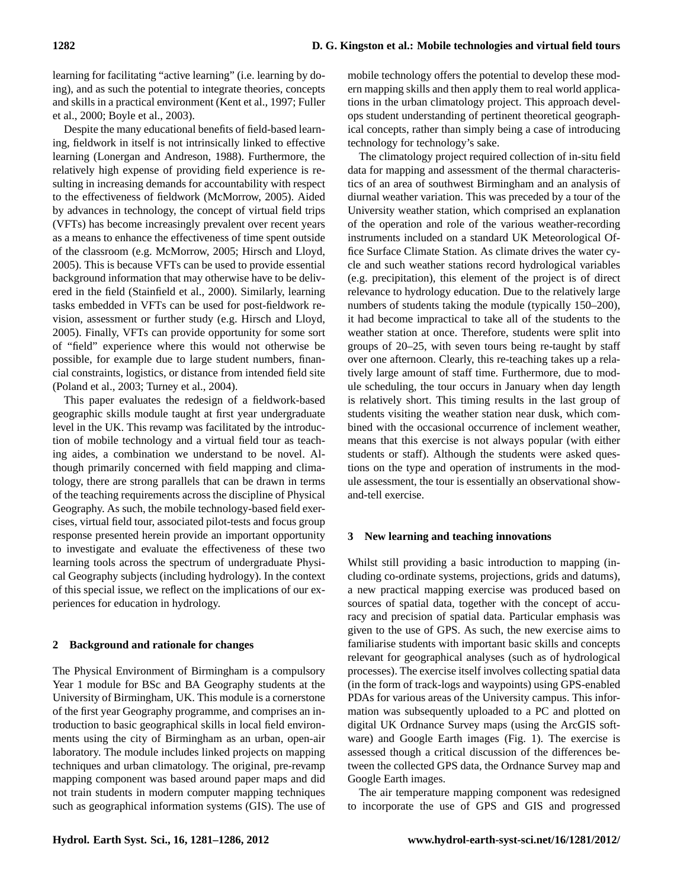learning for facilitating "active learning" (i.e. learning by doing), and as such the potential to integrate theories, concepts and skills in a practical environment (Kent et al., 1997; Fuller et al., 2000; Boyle et al., 2003).

Despite the many educational benefits of field-based learning, fieldwork in itself is not intrinsically linked to effective learning (Lonergan and Andreson, 1988). Furthermore, the relatively high expense of providing field experience is resulting in increasing demands for accountability with respect to the effectiveness of fieldwork (McMorrow, 2005). Aided by advances in technology, the concept of virtual field trips (VFTs) has become increasingly prevalent over recent years as a means to enhance the effectiveness of time spent outside of the classroom (e.g. McMorrow, 2005; Hirsch and Lloyd, 2005). This is because VFTs can be used to provide essential background information that may otherwise have to be delivered in the field (Stainfield et al., 2000). Similarly, learning tasks embedded in VFTs can be used for post-fieldwork revision, assessment or further study (e.g. Hirsch and Lloyd, 2005). Finally, VFTs can provide opportunity for some sort of "field" experience where this would not otherwise be possible, for example due to large student numbers, financial constraints, logistics, or distance from intended field site (Poland et al., 2003; Turney et al., 2004).

This paper evaluates the redesign of a fieldwork-based geographic skills module taught at first year undergraduate level in the UK. This revamp was facilitated by the introduction of mobile technology and a virtual field tour as teaching aides, a combination we understand to be novel. Although primarily concerned with field mapping and climatology, there are strong parallels that can be drawn in terms of the teaching requirements across the discipline of Physical Geography. As such, the mobile technology-based field exercises, virtual field tour, associated pilot-tests and focus group response presented herein provide an important opportunity to investigate and evaluate the effectiveness of these two learning tools across the spectrum of undergraduate Physical Geography subjects (including hydrology). In the context of this special issue, we reflect on the implications of our experiences for education in hydrology.

## **2 Background and rationale for changes**

The Physical Environment of Birmingham is a compulsory Year 1 module for BSc and BA Geography students at the University of Birmingham, UK. This module is a cornerstone of the first year Geography programme, and comprises an introduction to basic geographical skills in local field environments using the city of Birmingham as an urban, open-air laboratory. The module includes linked projects on mapping techniques and urban climatology. The original, pre-revamp mapping component was based around paper maps and did not train students in modern computer mapping techniques such as geographical information systems (GIS). The use of mobile technology offers the potential to develop these modern mapping skills and then apply them to real world applications in the urban climatology project. This approach develops student understanding of pertinent theoretical geographical concepts, rather than simply being a case of introducing technology for technology's sake.

The climatology project required collection of in-situ field data for mapping and assessment of the thermal characteristics of an area of southwest Birmingham and an analysis of diurnal weather variation. This was preceded by a tour of the University weather station, which comprised an explanation of the operation and role of the various weather-recording instruments included on a standard UK Meteorological Office Surface Climate Station. As climate drives the water cycle and such weather stations record hydrological variables (e.g. precipitation), this element of the project is of direct relevance to hydrology education. Due to the relatively large numbers of students taking the module (typically 150–200), it had become impractical to take all of the students to the weather station at once. Therefore, students were split into groups of 20–25, with seven tours being re-taught by staff over one afternoon. Clearly, this re-teaching takes up a relatively large amount of staff time. Furthermore, due to module scheduling, the tour occurs in January when day length is relatively short. This timing results in the last group of students visiting the weather station near dusk, which combined with the occasional occurrence of inclement weather, means that this exercise is not always popular (with either students or staff). Although the students were asked questions on the type and operation of instruments in the module assessment, the tour is essentially an observational showand-tell exercise.

## **3 New learning and teaching innovations**

Whilst still providing a basic introduction to mapping (including co-ordinate systems, projections, grids and datums), a new practical mapping exercise was produced based on sources of spatial data, together with the concept of accuracy and precision of spatial data. Particular emphasis was given to the use of GPS. As such, the new exercise aims to familiarise students with important basic skills and concepts relevant for geographical analyses (such as of hydrological processes). The exercise itself involves collecting spatial data (in the form of track-logs and waypoints) using GPS-enabled PDAs for various areas of the University campus. This information was subsequently uploaded to a PC and plotted on digital UK Ordnance Survey maps (using the ArcGIS software) and Google Earth images (Fig. 1). The exercise is assessed though a critical discussion of the differences between the collected GPS data, the Ordnance Survey map and Google Earth images.

The air temperature mapping component was redesigned to incorporate the use of GPS and GIS and progressed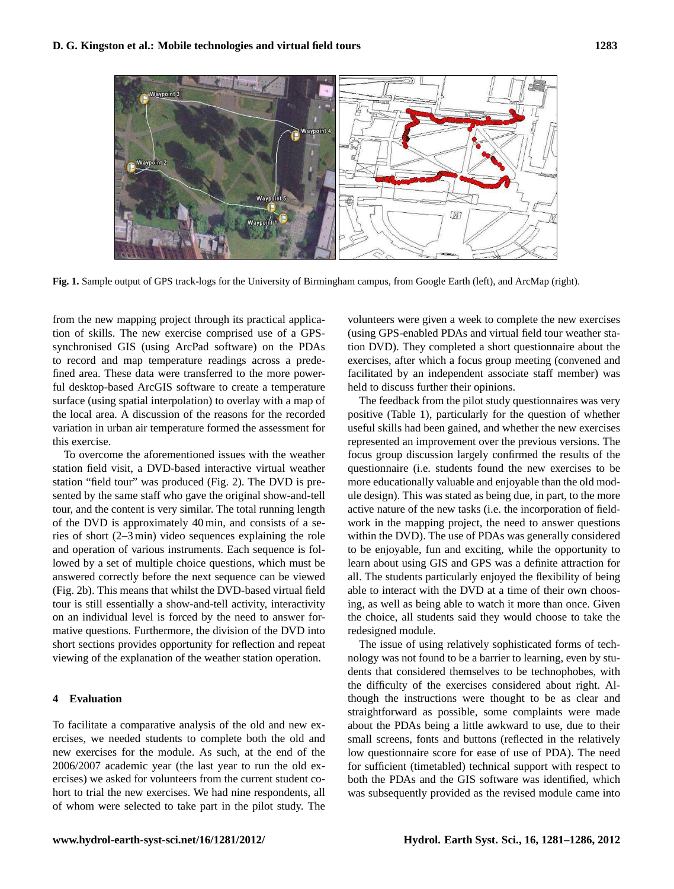

**Fig. 1.** Sample output of GPS track-logs for the University of Birmingham campus, from Google Earth (left), and ArcMap (right).

from the new mapping project through its practical application of skills. The new exercise comprised use of a GPSsynchronised GIS (using ArcPad software) on the PDAs to record and map temperature readings across a predefined area. These data were transferred to the more powerful desktop-based ArcGIS software to create a temperature surface (using spatial interpolation) to overlay with a map of the local area. A discussion of the reasons for the recorded variation in urban air temperature formed the assessment for this exercise.

To overcome the aforementioned issues with the weather station field visit, a DVD-based interactive virtual weather station "field tour" was produced (Fig. 2). The DVD is presented by the same staff who gave the original show-and-tell tour, and the content is very similar. The total running length of the DVD is approximately 40 min, and consists of a series of short (2–3 min) video sequences explaining the role and operation of various instruments. Each sequence is followed by a set of multiple choice questions, which must be answered correctly before the next sequence can be viewed (Fig. 2b). This means that whilst the DVD-based virtual field tour is still essentially a show-and-tell activity, interactivity on an individual level is forced by the need to answer formative questions. Furthermore, the division of the DVD into short sections provides opportunity for reflection and repeat viewing of the explanation of the weather station operation.

## **4 Evaluation**

To facilitate a comparative analysis of the old and new exercises, we needed students to complete both the old and new exercises for the module. As such, at the end of the 2006/2007 academic year (the last year to run the old exercises) we asked for volunteers from the current student cohort to trial the new exercises. We had nine respondents, all of whom were selected to take part in the pilot study. The

volunteers were given a week to complete the new exercises (using GPS-enabled PDAs and virtual field tour weather station DVD). They completed a short questionnaire about the exercises, after which a focus group meeting (convened and facilitated by an independent associate staff member) was held to discuss further their opinions.

The feedback from the pilot study questionnaires was very positive (Table 1), particularly for the question of whether useful skills had been gained, and whether the new exercises represented an improvement over the previous versions. The focus group discussion largely confirmed the results of the questionnaire (i.e. students found the new exercises to be more educationally valuable and enjoyable than the old module design). This was stated as being due, in part, to the more active nature of the new tasks (i.e. the incorporation of fieldwork in the mapping project, the need to answer questions within the DVD). The use of PDAs was generally considered to be enjoyable, fun and exciting, while the opportunity to learn about using GIS and GPS was a definite attraction for all. The students particularly enjoyed the flexibility of being able to interact with the DVD at a time of their own choosing, as well as being able to watch it more than once. Given the choice, all students said they would choose to take the redesigned module.

The issue of using relatively sophisticated forms of technology was not found to be a barrier to learning, even by students that considered themselves to be technophobes, with the difficulty of the exercises considered about right. Although the instructions were thought to be as clear and straightforward as possible, some complaints were made about the PDAs being a little awkward to use, due to their small screens, fonts and buttons (reflected in the relatively low questionnaire score for ease of use of PDA). The need for sufficient (timetabled) technical support with respect to both the PDAs and the GIS software was identified, which was subsequently provided as the revised module came into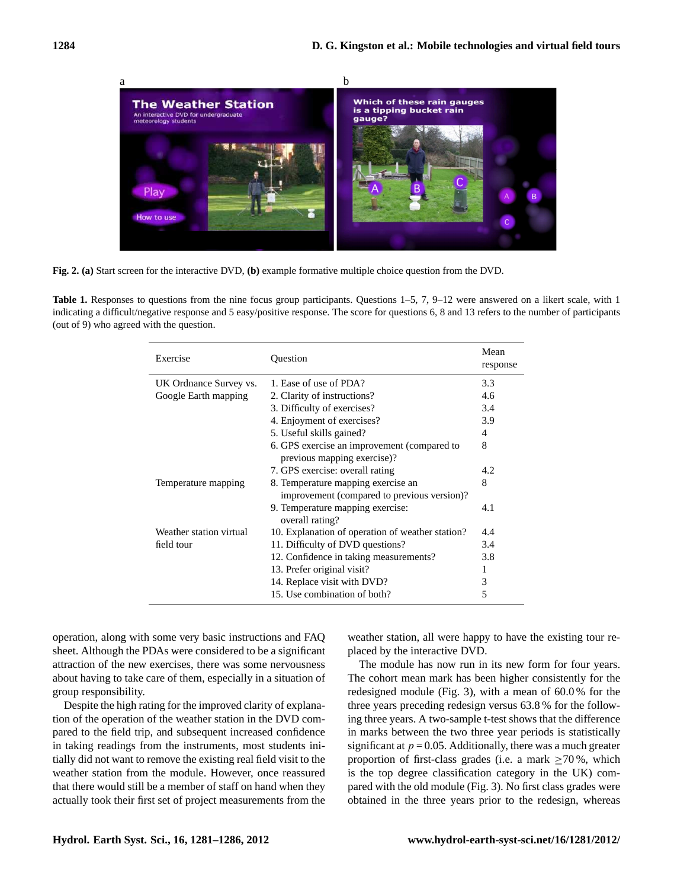

**Fig. 2. (a)** Start screen for the interactive DVD, **(b)** example formative multiple choice question from the DVD.

**Table 1.** Responses to questions from the nine focus group participants. Questions 1–5, 7, 9–12 were answered on a likert scale, with 1 indicating a difficult/negative response and 5 easy/positive response. The score for questions 6, 8 and 13 refers to the number of participants (out of 9) who agreed with the question.

| Exercise                | Ouestion                                                                          | Mean<br>response |
|-------------------------|-----------------------------------------------------------------------------------|------------------|
| UK Ordnance Survey vs.  | 1. Ease of use of PDA?                                                            | 3.3              |
| Google Earth mapping    | 2. Clarity of instructions?                                                       | 4.6              |
|                         | 3. Difficulty of exercises?                                                       | 3.4              |
|                         | 4. Enjoyment of exercises?                                                        | 3.9              |
|                         | 5. Useful skills gained?                                                          | 4                |
|                         | 6. GPS exercise an improvement (compared to<br>previous mapping exercise)?        | 8                |
|                         | 7. GPS exercise: overall rating                                                   | 4.2              |
| Temperature mapping     | 8. Temperature mapping exercise an<br>improvement (compared to previous version)? | 8                |
|                         | 9. Temperature mapping exercise:<br>overall rating?                               | 4.1              |
| Weather station virtual | 10. Explanation of operation of weather station?                                  | 4.4              |
| field tour              | 11. Difficulty of DVD questions?                                                  | 3.4              |
|                         | 12. Confidence in taking measurements?                                            | 3.8              |
|                         | 13. Prefer original visit?                                                        | 1                |
|                         | 14. Replace visit with DVD?                                                       | 3                |
|                         | 15. Use combination of both?                                                      | 5                |

operation, along with some very basic instructions and FAQ sheet. Although the PDAs were considered to be a significant attraction of the new exercises, there was some nervousness about having to take care of them, especially in a situation of group responsibility.

Despite the high rating for the improved clarity of explanation of the operation of the weather station in the DVD compared to the field trip, and subsequent increased confidence in taking readings from the instruments, most students initially did not want to remove the existing real field visit to the weather station from the module. However, once reassured that there would still be a member of staff on hand when they actually took their first set of project measurements from the weather station, all were happy to have the existing tour replaced by the interactive DVD.

The module has now run in its new form for four years. The cohort mean mark has been higher consistently for the redesigned module (Fig. 3), with a mean of 60.0 % for the three years preceding redesign versus 63.8 % for the following three years. A two-sample t-test shows that the difference in marks between the two three year periods is statistically significant at  $p = 0.05$ . Additionally, there was a much greater proportion of first-class grades (i.e. a mark  $\geq 70\%$ , which is the top degree classification category in the UK) compared with the old module (Fig. 3). No first class grades were obtained in the three years prior to the redesign, whereas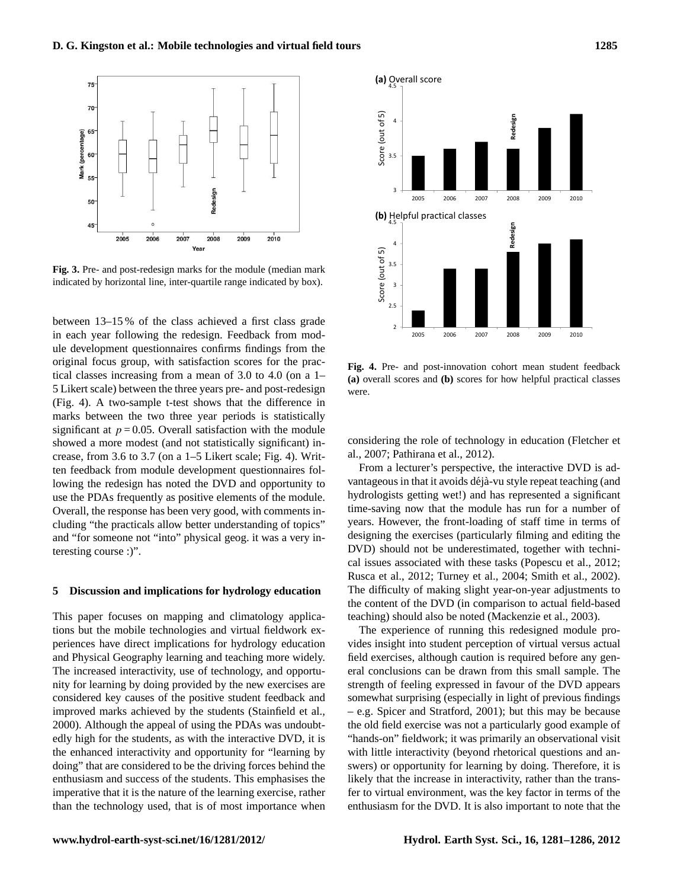

**Fig. 3.** Pre- and post-redesign marks for the module (median mark indicated by horizontal line, inter-quartile range indicated by box).

between 13–15 % of the class achieved a first class grade in each year following the redesign. Feedback from module development questionnaires confirms findings from the original focus group, with satisfaction scores for the practical classes increasing from a mean of 3.0 to 4.0 (on a 1– 5 Likert scale) between the three years pre- and post-redesign (Fig. 4). A two-sample t-test shows that the difference in marks between the two three year periods is statistically significant at  $p = 0.05$ . Overall satisfaction with the module showed a more modest (and not statistically significant) increase, from 3.6 to 3.7 (on a 1–5 Likert scale; Fig. 4). Written feedback from module development questionnaires following the redesign has noted the DVD and opportunity to use the PDAs frequently as positive elements of the module. Overall, the response has been very good, with comments including "the practicals allow better understanding of topics" and "for someone not "into" physical geog. it was a very interesting course :)".

#### **5 Discussion and implications for hydrology education**

This paper focuses on mapping and climatology applications but the mobile technologies and virtual fieldwork experiences have direct implications for hydrology education and Physical Geography learning and teaching more widely. The increased interactivity, use of technology, and opportunity for learning by doing provided by the new exercises are considered key causes of the positive student feedback and improved marks achieved by the students (Stainfield et al., 2000). Although the appeal of using the PDAs was undoubtedly high for the students, as with the interactive DVD, it is the enhanced interactivity and opportunity for "learning by doing" that are considered to be the driving forces behind the enthusiasm and success of the students. This emphasises the imperative that it is the nature of the learning exercise, rather than the technology used, that is of most importance when



**Fig. 4.** Pre- and post-innovation cohort mean student feedback **(a)** overall scores and **(b)** scores for how helpful practical classes were.

considering the role of technology in education (Fletcher et al., 2007; Pathirana et al., 2012).

From a lecturer's perspective, the interactive DVD is advantageous in that it avoids déjà-vu style repeat teaching (and hydrologists getting wet!) and has represented a significant time-saving now that the module has run for a number of years. However, the front-loading of staff time in terms of designing the exercises (particularly filming and editing the DVD) should not be underestimated, together with technical issues associated with these tasks (Popescu et al., 2012; Rusca et al., 2012; Turney et al., 2004; Smith et al., 2002). The difficulty of making slight year-on-year adjustments to the content of the DVD (in comparison to actual field-based teaching) should also be noted (Mackenzie et al., 2003).

The experience of running this redesigned module provides insight into student perception of virtual versus actual field exercises, although caution is required before any general conclusions can be drawn from this small sample. The strength of feeling expressed in favour of the DVD appears somewhat surprising (especially in light of previous findings – e.g. Spicer and Stratford, 2001); but this may be because the old field exercise was not a particularly good example of "hands-on" fieldwork; it was primarily an observational visit with little interactivity (beyond rhetorical questions and answers) or opportunity for learning by doing. Therefore, it is likely that the increase in interactivity, rather than the transfer to virtual environment, was the key factor in terms of the enthusiasm for the DVD. It is also important to note that the